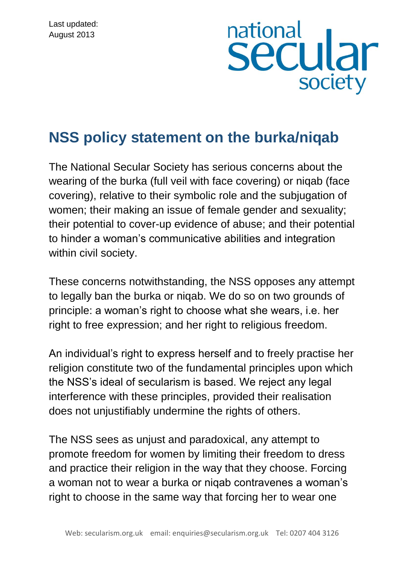Last updated: August 2013

## national<br>Secular society

## **NSS policy statement on the burka/niqab**

The National Secular Society has serious concerns about the wearing of the burka (full veil with face covering) or niqab (face covering), relative to their symbolic role and the subjugation of women; their making an issue of female gender and sexuality; their potential to cover-up evidence of abuse; and their potential to hinder a woman's communicative abilities and integration within civil society.

These concerns notwithstanding, the NSS opposes any attempt to legally ban the burka or niqab. We do so on two grounds of principle: a woman's right to choose what she wears, i.e. her right to free expression; and her right to religious freedom.

An individual's right to express herself and to freely practise her religion constitute two of the fundamental principles upon which the NSS's ideal of secularism is based. We reject any legal interference with these principles, provided their realisation does not unjustifiably undermine the rights of others.

The NSS sees as unjust and paradoxical, any attempt to promote freedom for women by limiting their freedom to dress and practice their religion in the way that they choose. Forcing a woman not to wear a burka or niqab contravenes a woman's right to choose in the same way that forcing her to wear one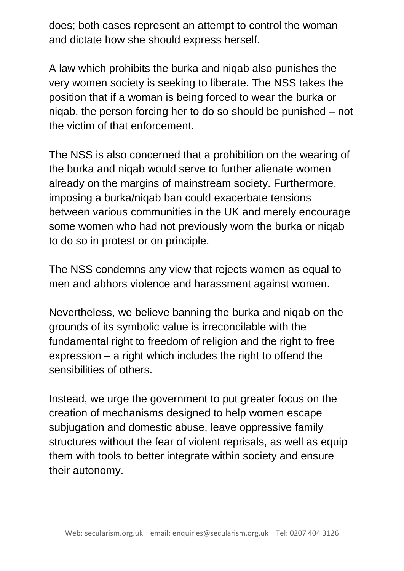does; both cases represent an attempt to control the woman and dictate how she should express herself.

A law which prohibits the burka and niqab also punishes the very women society is seeking to liberate. The NSS takes the position that if a woman is being forced to wear the burka or niqab, the person forcing her to do so should be punished – not the victim of that enforcement.

The NSS is also concerned that a prohibition on the wearing of the burka and niqab would serve to further alienate women already on the margins of mainstream society. Furthermore, imposing a burka/niqab ban could exacerbate tensions between various communities in the UK and merely encourage some women who had not previously worn the burka or niqab to do so in protest or on principle.

The NSS condemns any view that rejects women as equal to men and abhors violence and harassment against women.

Nevertheless, we believe banning the burka and niqab on the grounds of its symbolic value is irreconcilable with the fundamental right to freedom of religion and the right to free expression – a right which includes the right to offend the sensibilities of others.

Instead, we urge the government to put greater focus on the creation of mechanisms designed to help women escape subjugation and domestic abuse, leave oppressive family structures without the fear of violent reprisals, as well as equip them with tools to better integrate within society and ensure their autonomy.